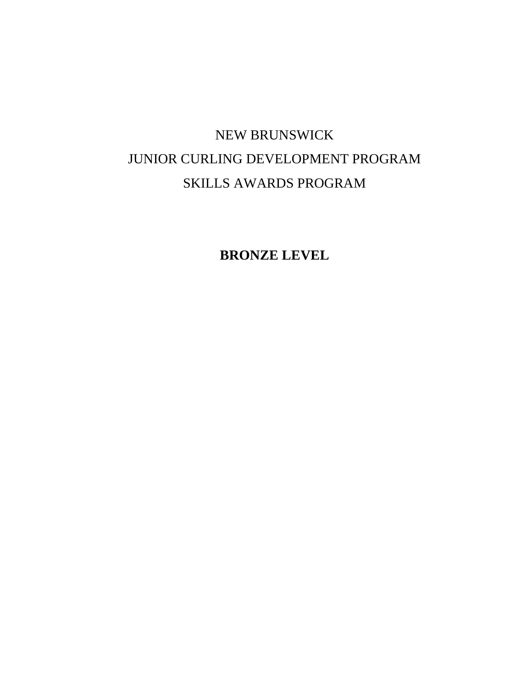# NEW BRUNSWICK JUNIOR CURLING DEVELOPMENT PROGRAM SKILLS AWARDS PROGRAM

**BRONZE LEVEL**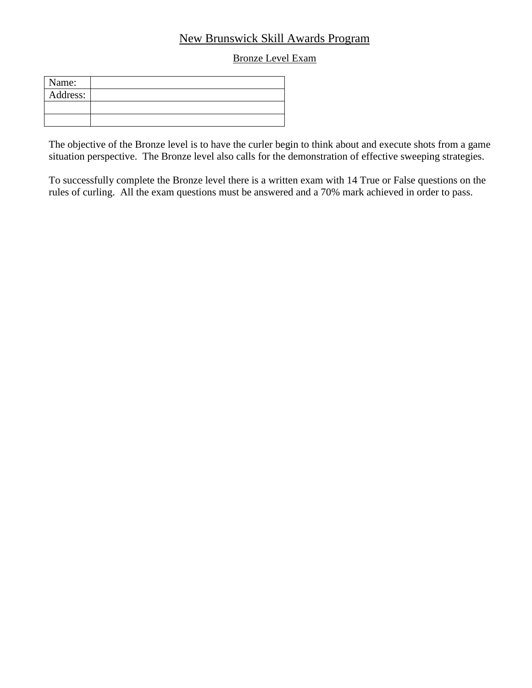## New Brunswick Skill Awards Program

#### Bronze Level Exam

| Name:    |  |
|----------|--|
| Address: |  |
|          |  |
|          |  |

The objective of the Bronze level is to have the curler begin to think about and execute shots from a game situation perspective. The Bronze level also calls for the demonstration of effective sweeping strategies.

To successfully complete the Bronze level there is a written exam with 14 True or False questions on the rules of curling. All the exam questions must be answered and a 70% mark achieved in order to pass.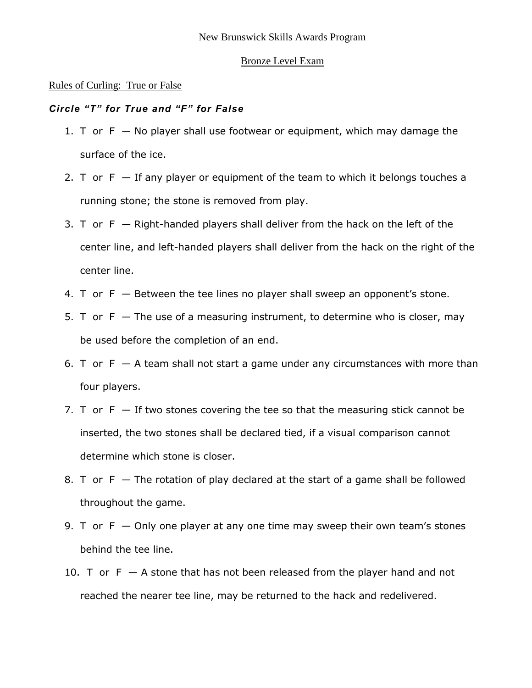#### Rules of Curling: True or False

#### *Circle "T" for True and "F" for False*

- 1. T or  $F No$  player shall use footwear or equipment, which may damage the surface of the ice.
- 2. T or  $F If$  any player or equipment of the team to which it belongs touches a running stone; the stone is removed from play.
- 3. T or  $F -$  Right-handed players shall deliver from the hack on the left of the center line, and left-handed players shall deliver from the hack on the right of the center line.
- 4. T or  $F B$ etween the tee lines no player shall sweep an opponent's stone.
- 5. T or  $F -$  The use of a measuring instrument, to determine who is closer, may be used before the completion of an end.
- 6. T or  $F A$  team shall not start a game under any circumstances with more than four players.
- 7. T or  $F If$  two stones covering the tee so that the measuring stick cannot be inserted, the two stones shall be declared tied, if a visual comparison cannot determine which stone is closer.
- 8. T or  $F Th$ e rotation of play declared at the start of a game shall be followed throughout the game.
- 9. T or  $F -$  Only one player at any one time may sweep their own team's stones behind the tee line.
- 10. T or  $F A$  stone that has not been released from the player hand and not reached the nearer tee line, may be returned to the hack and redelivered.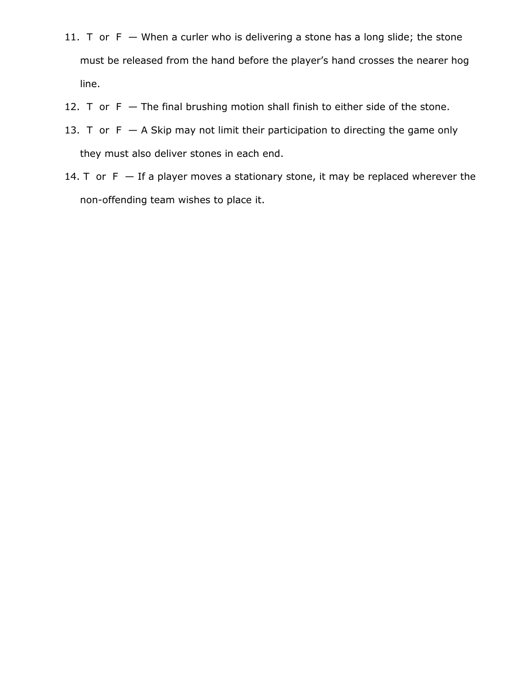- 11. T or  $F -$  When a curler who is delivering a stone has a long slide; the stone must be released from the hand before the player's hand crosses the nearer hog line.
- 12. T or  $F -$  The final brushing motion shall finish to either side of the stone.
- 13. T or  $F A$  Skip may not limit their participation to directing the game only they must also deliver stones in each end.
- 14. T or  $F If a player moves a stationary stone, it may be replaced wherever the$ non-offending team wishes to place it.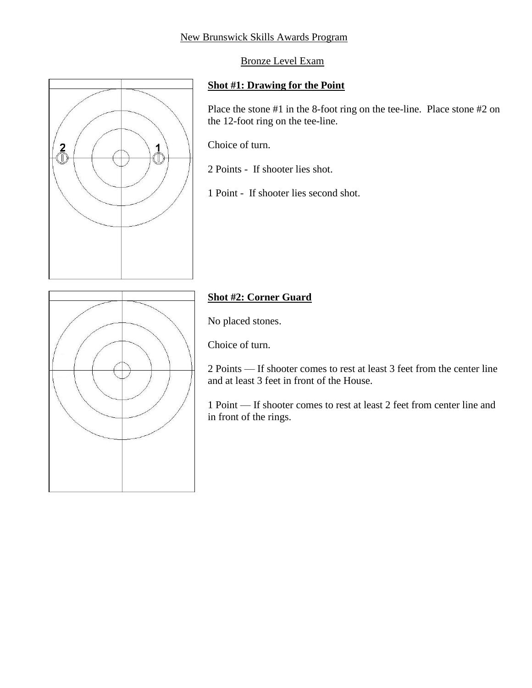#### New Brunswick Skills Awards Program

Bronze Level Exam

#### **Shot #1: Drawing for the Point**

Place the stone #1 in the 8-foot ring on the tee-line. Place stone #2 on the 12-foot ring on the tee-line.

Choice of turn.

2 Points - If shooter lies shot.

1 Point - If shooter lies second shot.



 $\overline{2}$ 

# **Shot #2: Corner Guard**

No placed stones.

Choice of turn.

2 Points — If shooter comes to rest at least 3 feet from the center line and at least 3 feet in front of the House.

1 Point — If shooter comes to rest at least 2 feet from center line and in front of the rings.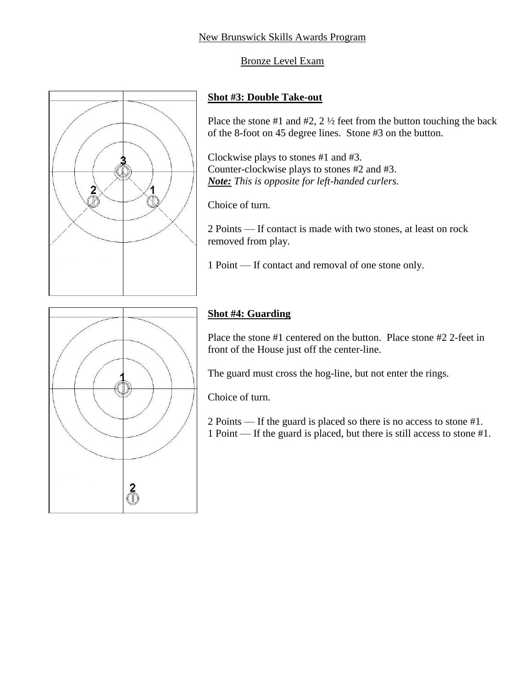

Place the stone #1 and #2,  $2\frac{1}{2}$  feet from the button touching the back of the 8-foot on 45 degree lines. Stone #3 on the button.

Clockwise plays to stones #1 and #3. Counter-clockwise plays to stones #2 and #3. *Note: This is opposite for left-handed curlers.*

Choice of turn.

2 Points — If contact is made with two stones, at least on rock removed from play.

1 Point — If contact and removal of one stone only.



 $\overline{2}$ 

 $\mathbb{Q}$ 

1 Ò

# **Shot #4: Guarding**

Place the stone #1 centered on the button. Place stone #2 2-feet in front of the House just off the center-line.

The guard must cross the hog-line, but not enter the rings.

Choice of turn.

2 Points — If the guard is placed so there is no access to stone #1. 1 Point — If the guard is placed, but there is still access to stone #1.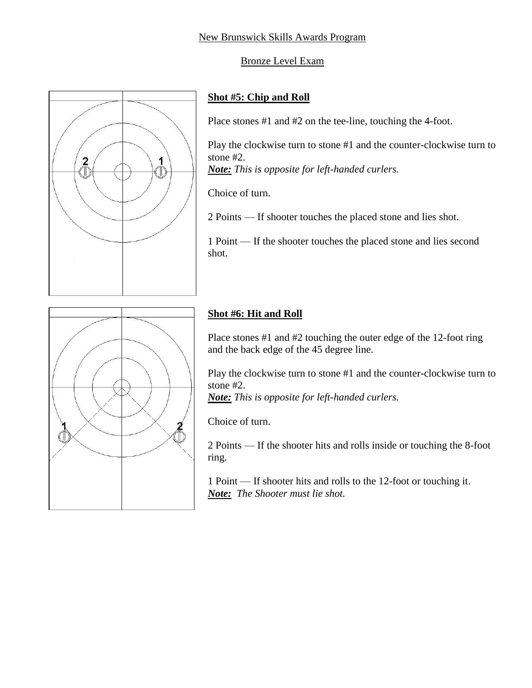

### **Shot #5: Chip and Roll**

Place stones #1 and #2 on the tee-line, touching the 4-foot.

Play the clockwise turn to stone #1 and the counter-clockwise turn to stone #2. *Note: This is opposite for left-handed curlers.*

Choice of turn.

2 Points — If shooter touches the placed stone and lies shot.

1 Point — If the shooter touches the placed stone and lies second shot.



# **Shot #6: Hit and Roll**

Place stones #1 and #2 touching the outer edge of the 12-foot ring and the back edge of the 45 degree line.

Play the clockwise turn to stone #1 and the counter-clockwise turn to stone #2.

*Note: This is opposite for left-handed curlers.*

Choice of turn.

2 Points — If the shooter hits and rolls inside or touching the 8-foot ring.

1 Point — If shooter hits and rolls to the 12-foot or touching it. *Note: The Shooter must lie shot.*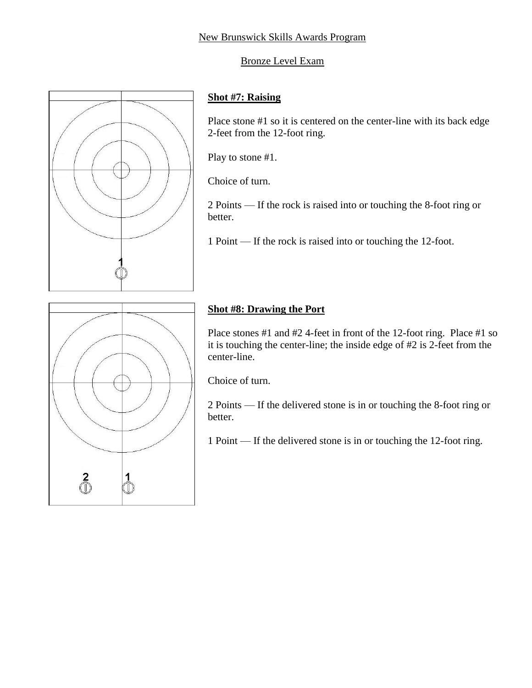

# **Shot #7: Raising**

Place stone #1 so it is centered on the center-line with its back edge 2-feet from the 12-foot ring.

Play to stone #1.

Choice of turn.

2 Points — If the rock is raised into or touching the 8-foot ring or better.

1 Point — If the rock is raised into or touching the 12-foot.



# **Shot #8: Drawing the Port**

Place stones #1 and #2 4-feet in front of the 12-foot ring. Place #1 so it is touching the center-line; the inside edge of #2 is 2-feet from the center-line.

Choice of turn.

2 Points — If the delivered stone is in or touching the 8-foot ring or better.

1 Point — If the delivered stone is in or touching the 12-foot ring.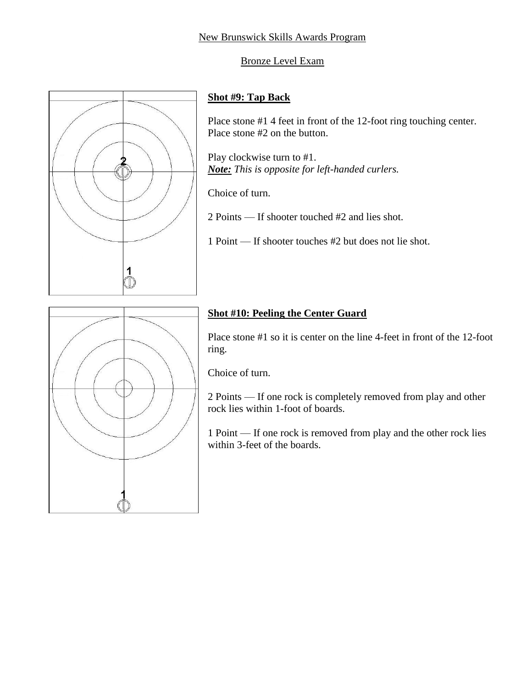#### New Brunswick Skills Awards Program

#### Bronze Level Exam



#### **Shot #9: Tap Back**

Place stone #1 4 feet in front of the 12-foot ring touching center. Place stone #2 on the button.

Play clockwise turn to #1. *Note: This is opposite for left-handed curlers.*

Choice of turn.

2 Points — If shooter touched #2 and lies shot.

1 Point — If shooter touches #2 but does not lie shot.



## **Shot #10: Peeling the Center Guard**

Place stone #1 so it is center on the line 4-feet in front of the 12-foot ring.

Choice of turn.

2 Points — If one rock is completely removed from play and other rock lies within 1-foot of boards.

1 Point — If one rock is removed from play and the other rock lies within 3-feet of the boards.